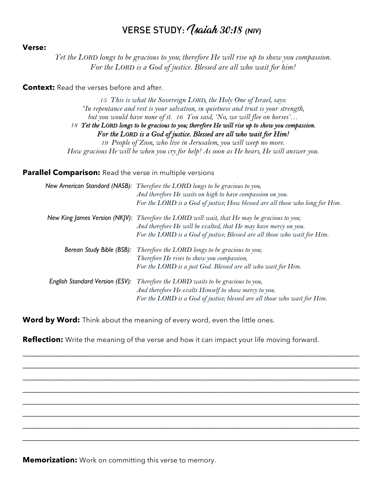# VERSE STUDY: *(saiah 30:18 (NIV)*

### **Verse:**

*Yet the LORD longs to be gracious to you; therefore He will rise up to show you compassion. For the LORD is a God of justice. Blessed are all who wait for him!* 

## **Context:** Read the verses before and after.

*15 This is what the Sovereign LORD, the Holy One of Israel, says: "In repentance and rest is your salvation, in quietness and trust is your strength, but you would have none of it. 16 You said, 'No, we will flee on horses'…* 18 Tet the LORD longs to be gracious to you; therefore He will rise up to show you compassion. For the LORD is a God of justice. Blessed are all who wait for Him! *19 People of Zion, who live in Jerusalem, you will weep no more. How gracious He will be when you cry for help! As soon as He hears, He will answer you.*

## **Parallel Comparison:** Read the verse in multiple versions

|                                 | New American Standard (NASB): Therefore the LORD longs to be gracious to you,<br>And therefore He waits on high to have compassion on you.<br>For the LORD is a God of justice; How blessed are all those who long for Him.                   |
|---------------------------------|-----------------------------------------------------------------------------------------------------------------------------------------------------------------------------------------------------------------------------------------------|
|                                 | New King James Version (NKJV): Therefore the LORD will wait, that He may be gracious to you;<br>And therefore He will be exalted, that He may have mercy on you.<br>For the LORD is a God of justice, Blessed are all those who wait for Him. |
|                                 | <b>Berean Study Bible (BSB):</b> Therefore the LORD longs to be gracious to you;<br>Therefore He rises to show you compassion,<br>For the LORD is a just God. Blessed are all who wait for Him.                                               |
| English Standard Version (ESV): | Therefore the LORD waits to be gracious to you,<br>And therefore He exalts Himself to show mercy to you.<br>For the LORD is a God of justice; blessed are all those who wait for Him.                                                         |

Word by Word: Think about the meaning of every word, even the little ones.

**Reflection:** Write the meaning of the verse and how it can impact your life moving forward.

 $\mathcal{L}_\mathcal{L} = \mathcal{L}_\mathcal{L} = \mathcal{L}_\mathcal{L} = \mathcal{L}_\mathcal{L} = \mathcal{L}_\mathcal{L} = \mathcal{L}_\mathcal{L} = \mathcal{L}_\mathcal{L} = \mathcal{L}_\mathcal{L} = \mathcal{L}_\mathcal{L} = \mathcal{L}_\mathcal{L} = \mathcal{L}_\mathcal{L} = \mathcal{L}_\mathcal{L} = \mathcal{L}_\mathcal{L} = \mathcal{L}_\mathcal{L} = \mathcal{L}_\mathcal{L} = \mathcal{L}_\mathcal{L} = \mathcal{L}_\mathcal{L}$  $\mathcal{L}_\mathcal{L} = \mathcal{L}_\mathcal{L} = \mathcal{L}_\mathcal{L} = \mathcal{L}_\mathcal{L} = \mathcal{L}_\mathcal{L} = \mathcal{L}_\mathcal{L} = \mathcal{L}_\mathcal{L} = \mathcal{L}_\mathcal{L} = \mathcal{L}_\mathcal{L} = \mathcal{L}_\mathcal{L} = \mathcal{L}_\mathcal{L} = \mathcal{L}_\mathcal{L} = \mathcal{L}_\mathcal{L} = \mathcal{L}_\mathcal{L} = \mathcal{L}_\mathcal{L} = \mathcal{L}_\mathcal{L} = \mathcal{L}_\mathcal{L}$ 

 $\_$  ,  $\_$  ,  $\_$  ,  $\_$  ,  $\_$  ,  $\_$  ,  $\_$  ,  $\_$  ,  $\_$  ,  $\_$  ,  $\_$  ,  $\_$  ,  $\_$  ,  $\_$  ,  $\_$  ,  $\_$  ,  $\_$  ,  $\_$  ,  $\_$  ,  $\_$  ,  $\_$  ,  $\_$  ,  $\_$  ,  $\_$  ,  $\_$  ,  $\_$  ,  $\_$  ,  $\_$  ,  $\_$  ,  $\_$  ,  $\_$  ,  $\_$  ,  $\_$  ,  $\_$  ,  $\_$  ,  $\_$  ,  $\_$  ,

 $\_$  , and the set of the set of the set of the set of the set of the set of the set of the set of the set of the set of the set of the set of the set of the set of the set of the set of the set of the set of the set of th  $\_$  ,  $\_$  ,  $\_$  ,  $\_$  ,  $\_$  ,  $\_$  ,  $\_$  ,  $\_$  ,  $\_$  ,  $\_$  ,  $\_$  ,  $\_$  ,  $\_$  ,  $\_$  ,  $\_$  ,  $\_$  ,  $\_$  ,  $\_$  ,  $\_$  ,  $\_$  ,  $\_$  ,  $\_$  ,  $\_$  ,  $\_$  ,  $\_$  ,  $\_$  ,  $\_$  ,  $\_$  ,  $\_$  ,  $\_$  ,  $\_$  ,  $\_$  ,  $\_$  ,  $\_$  ,  $\_$  ,  $\_$  ,  $\_$  ,  $\mathcal{L}_\mathcal{L} = \mathcal{L}_\mathcal{L} = \mathcal{L}_\mathcal{L} = \mathcal{L}_\mathcal{L} = \mathcal{L}_\mathcal{L} = \mathcal{L}_\mathcal{L} = \mathcal{L}_\mathcal{L} = \mathcal{L}_\mathcal{L} = \mathcal{L}_\mathcal{L} = \mathcal{L}_\mathcal{L} = \mathcal{L}_\mathcal{L} = \mathcal{L}_\mathcal{L} = \mathcal{L}_\mathcal{L} = \mathcal{L}_\mathcal{L} = \mathcal{L}_\mathcal{L} = \mathcal{L}_\mathcal{L} = \mathcal{L}_\mathcal{L}$ 

**Memorization:** Work on committing this verse to memory.